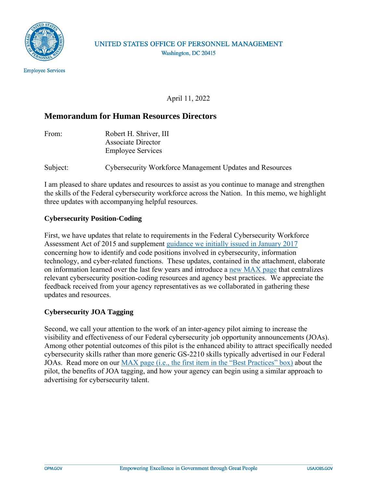

## April 11, 2022

## **Memorandum for Human Resources Directors**

| From: | Robert H. Shriver, III    |  |
|-------|---------------------------|--|
|       | <b>Associate Director</b> |  |
|       | <b>Employee Services</b>  |  |

Subject: Cybersecurity Workforce Management Updates and Resources

I am pleased to share updates and resources to assist as you continue to manage and strengthen the skills of the Federal cybersecurity workforce across the Nation. In this memo, we highlight three updates with accompanying helpful resources.

### **Cybersecurity Position-Coding**

First, we have updates that relate to requirements in the Federal Cybersecurity Workforce Assessment Act of 2015 and supplement [guidance we initially issued in January 2017](https://www.chcoc.gov/content/guidance-assigning-new-cybersecurity-codes-positions-information-technology-cybersecurity) concerning how to identify and code positions involved in cybersecurity, information technology, and cyber-related functions. These updates, contained in the attachment, elaborate on information learned over the last few years and introduce a [new MAX page](https://community.max.gov/display/HumanCapital/Cyber+Position-Coding+Guidance+and+Resources) that centralizes relevant cybersecurity position-coding resources and agency best practices. We appreciate the feedback received from your agency representatives as we collaborated in gathering these updates and resources.

### **Cybersecurity JOA Tagging**

Second, we call your attention to the work of an inter-agency pilot aiming to increase the visibility and effectiveness of our Federal cybersecurity job opportunity announcements (JOAs). Among other potential outcomes of this pilot is the enhanced ability to attract specifically needed cybersecurity skills rather than more generic GS-2210 skills typically advertised in our Federal JOAs. Read more on our [MAX page \(i.e., the first item in the "Best Practices" box\)](https://community.max.gov/display/HumanCapital/Cyber+Position-Coding+Guidance+and+Resources) about the pilot, the benefits of JOA tagging, and how your agency can begin using a similar approach to advertising for cybersecurity talent.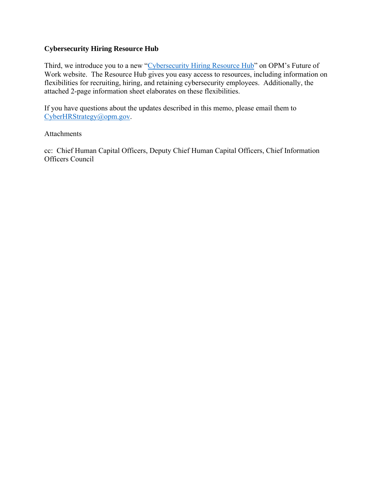#### **Cybersecurity Hiring Resource Hub**

Third, we introduce you to a new ["Cybersecurity Hiring Resource Hub"](https://www.opm.gov/policy-data-oversight/future-of-work/) on OPM's Future of Work website. The Resource Hub gives you easy access to resources, including information on flexibilities for recruiting, hiring, and retaining cybersecurity employees. Additionally, the attached 2-page information sheet elaborates on these flexibilities.

If you have questions about the updates described in this memo, please email them to [CyberHRStrategy@opm.gov.](mailto:CyberHRStrategy@opm.gov)

#### Attachments

cc: Chief Human Capital Officers, Deputy Chief Human Capital Officers, Chief Information Officers Council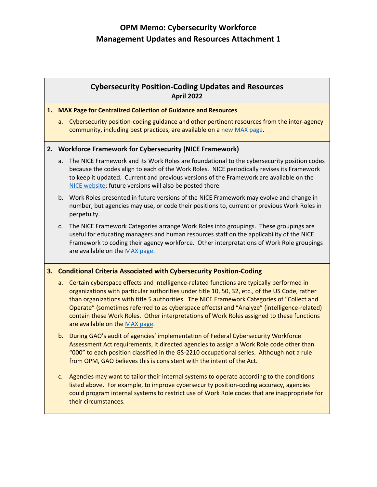# **OPM Memo: Cybersecurity Workforce Management Updates and Resources Attachment 1**

### **Cybersecurity Position-Coding Updates and Resources April 2022**

#### **1. MAX Page for Centralized Collection of Guidance and Resources**

a. Cybersecurity position-coding guidance and other pertinent resources from the inter-agency community, including best practices, are available on [a new MAX page.](https://community.max.gov/display/HumanCapital/Cyber+Position-Coding+Guidance+and+Resources)

#### **2. Workforce Framework for Cybersecurity (NICE Framework)**

- a. The NICE Framework and its Work Roles are foundational to the cybersecurity position codes because the codes align to each of the Work Roles. NICE periodically revises its Framework to keep it updated. Current and previous versions of the Framework are available on the [NICE website;](https://www.nist.gov/itl/applied-cybersecurity/nice/nice-framework-resource-center) future versions will also be posted there.
- b. Work Roles presented in future versions of the NICE Framework may evolve and change in number, but agencies may use, or code their positions to, current or previous Work Roles in perpetuity.
- c. The NICE Framework Categories arrange Work Roles into groupings. These groupings are useful for educating managers and human resources staff on the applicability of the NICE Framework to coding their agency workforce. Other interpretations of Work Role groupings are available on the [MAX page.](https://community.max.gov/display/HumanCapital/Cyber+Position-Coding+Guidance+and+Resources)

#### **3. Conditional Criteria Associated with Cybersecurity Position-Coding**

- a. Certain cyberspace effects and intelligence-related functions are typically performed in organizations with particular authorities under title 10, 50, 32, etc., of the US Code, rather than organizations with title 5 authorities. The NICE Framework Categories of "Collect and Operate" (sometimes referred to as cyberspace effects) and "Analyze" (intelligence-related) contain these Work Roles. Other interpretations of Work Roles assigned to these functions are available on the [MAX page.](https://community.max.gov/display/HumanCapital/Cyber+Position-Coding+Guidance+and+Resources)
- b. During GAO's audit of agencies' implementation of Federal Cybersecurity Workforce Assessment Act requirements, it directed agencies to assign a Work Role code other than "000" to each position classified in the GS-2210 occupational series. Although not a rule from OPM, GAO believes this is consistent with the intent of the Act.
- c. Agencies may want to tailor their internal systems to operate according to the conditions listed above. For example, to improve cybersecurity position-coding accuracy, agencies could program internal systems to restrict use of Work Role codes that are inappropriate for their circumstances.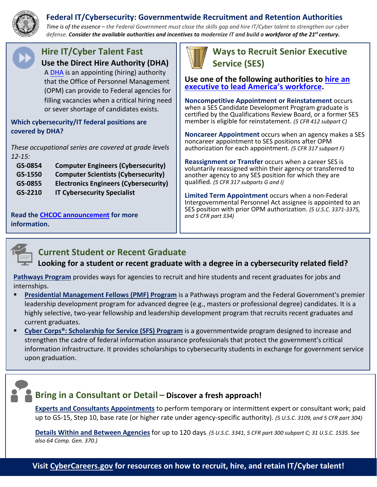# **Federal IT/Cybersecurity: Governmentwide Recruitment and Retention Authorities**



*Time is of the essence – the Federal Government must close the skills gap and hire IT/Cyber talent to strengthen our cyber defense. Consider the available authorities and incentives to modernize IT and build a workforce of the 21st century.* 



# **Hire IT/Cyber Talent Fast Use the Direct Hire Authority (DHA)**

A [DHA](https://www.opm.gov/policy-data-oversight/hiring-information/direct-hire-authority/#url=Fact-Sheet) is an appointing (hiring) authority that the Office of Personnel Management (OPM) can provide to Federal agencies for filling vacancies when a critical hiring need or sever shortage of candidates exists.

### **Which cybersecurity/IT federal positions are covered by DHA?**

*These occupational series are covered at grade levels 12-15:*

| GS-0854 | <b>Computer Engineers (Cybersecurity)</b>    |
|---------|----------------------------------------------|
| GS-1550 | <b>Computer Scientists (Cybersecurity)</b>   |
| GS-0855 | <b>Electronics Engineers (Cybersecurity)</b> |
| GS-2210 | <b>IT Cybersecurity Specialist</b>           |

**Read the [CHCOC announcement](https://chcoc.gov/content/announcing-government-wide-direct-hire-appointing-authorities) for more information.**



# **Ways to Recruit Senior Executive Service (SES)**

**Use one of the following authorities to [hire an](http://www.opm.gov/policy-data-oversight/senior-executive-service/)  [executive to lead America's](http://www.opm.gov/policy-data-oversight/senior-executive-service/) workforce.** 

**Noncompetitive Appointment or Reinstatement** occurs when a SES Candidate Development Program graduate is certified by the Qualifications Review Board, or a former SES member is eligible for reinstatement. *(5 CFR 412 subpart C)*

**Noncareer Appointment** occurs when an agency makes a SES noncareer appointment to SES positions after OPM authorization for each appointment. *(5 CFR 317 subpart F)*

**Reassignment or Transfer** occurs when a career SES is voluntarily reassigned within their agency or transferred to another agency to any SES position for which they are qualified. *(5 CFR 317 subparts G and I)*

**Limited Term Appointment** occurs when a non-Federal Intergovernmental Personnel Act assignee is appointed to an SES position with prior OPM authorization. *(5 U.S.C. 3371-3375, and 5 CFR part 334)*



# **Current Student or Recent Graduate**

# **Looking for a student or recent graduate with a degree in a cybersecurity related field?**

**[Pathways Program](http://www.opm.gov/policy-data-oversight/hiring-information/students-recent-graduates/)** provides ways for agencies to recruit and hire students and recent graduates for jobs and internships.

- **[Presidential Management Fellows \(PMF\) Program](http://www.pmf.gov/)** is a Pathways program and the Federal Government's premier leadership development program for advanced degree (e.g., masters or professional degree) candidates. It is a highly selective, two-year fellowship and leadership development program that recruits recent graduates and current graduates.
- **Cyber Corps<sup>®</sup>: Scholarship for Service (SFS) Program** is a governmentwide program designed to increase and strengthen the cadre of federal information assurance professionals that protect the government's critical information infrastructure. It provides scholarships to cybersecurity students in exchange for government service upon graduation.

# **Bring in a Consultant or Detail – Discover a fresh approach!**

**[Experts and Consultants Appointments](http://www.opm.gov/policy-data-oversight/pay-leave/pay-administration/fact-sheets/expert-and-consultant-pay)** to perform temporary or intermittent expert or consultant work; paid up to GS-15, Step 10, base rate (or higher rate under agency-specific authority). *(5 U.S.C. 3109, and 5 CFR part 304)*

**[Details Within and Between Agencies](http://www.opm.gov/policy-data-oversight/hiring-information/details-transfers/)** for up to 120 days*. (5 U.S.C. 3341, 5 CFR part 300 subpart C; 31 U.S.C. 1535. See also 64 Comp. Gen. 370.)*